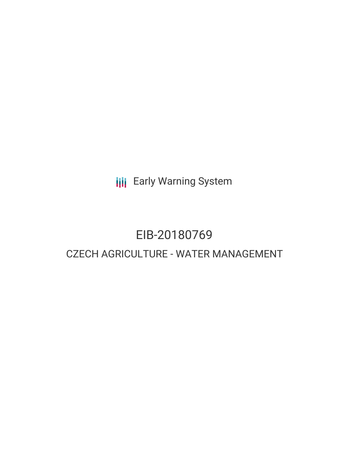**III** Early Warning System

# EIB-20180769 CZECH AGRICULTURE - WATER MANAGEMENT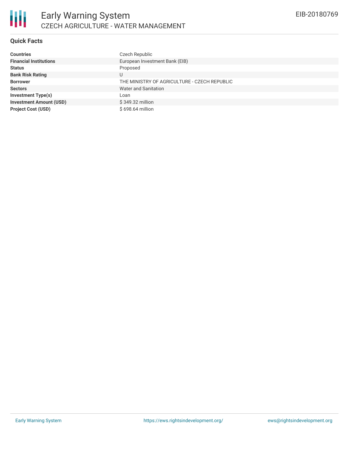

# **Quick Facts**

| <b>Countries</b>               | Czech Republic                               |
|--------------------------------|----------------------------------------------|
| <b>Financial Institutions</b>  | European Investment Bank (EIB)               |
| <b>Status</b>                  | Proposed                                     |
| <b>Bank Risk Rating</b>        | U                                            |
| <b>Borrower</b>                | THE MINISTRY OF AGRICULTURE - CZECH REPUBLIC |
| <b>Sectors</b>                 | Water and Sanitation                         |
| <b>Investment Type(s)</b>      | Loan                                         |
| <b>Investment Amount (USD)</b> | \$349.32 million                             |
| <b>Project Cost (USD)</b>      | \$698.64 million                             |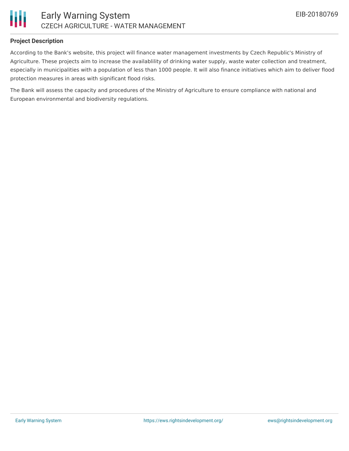

#### **Project Description**

According to the Bank's website, this project will finance water management investments by Czech Republic's Ministry of Agriculture. These projects aim to increase the availablility of drinking water supply, waste water collection and treatment, especially in municipalities with a population of less than 1000 people. It will also finance initiatives which aim to deliver flood protection measures in areas with significant flood risks.

The Bank will assess the capacity and procedures of the Ministry of Agriculture to ensure compliance with national and European environmental and biodiversity regulations.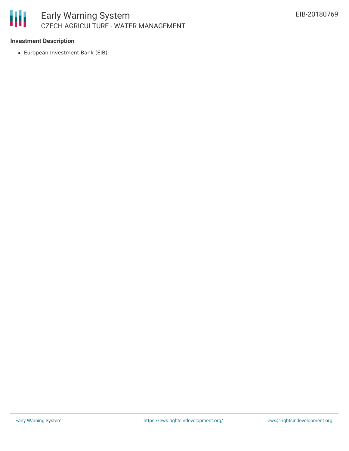

## **Investment Description**

European Investment Bank (EIB)